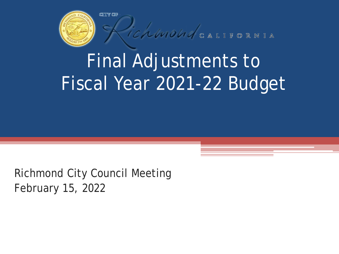

ichmondealitoRNIA

# Final Adjustments to Fiscal Year 2021-22 Budget

Richmond City Council Meeting February 15, 2022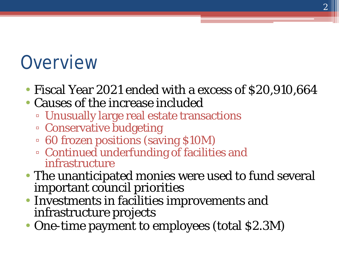### **Overview**

- Fiscal Year 2021 ended with a excess of \$20,910,664
- Causes of the increase included
	- Unusually large real estate transactions
	- Conservative budgeting
	- 60 frozen positions (saving \$10M)
	- Continued underfunding of facilities and infrastructure
- The unanticipated monies were used to fund several important council priorities
- Investments in facilities improvements and infrastructure projects
- One-time payment to employees (total \$2.3M)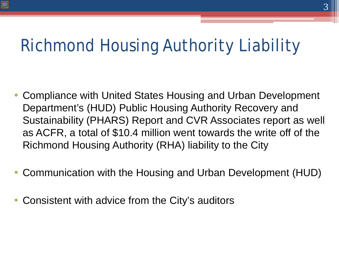#### Richmond Housing Authority Liability

- Compliance with United States Housing and Urban Development Department's (HUD) Public Housing Authority Recovery and Sustainability (PHARS) Report and CVR Associates report as well as ACFR, a total of \$10.4 million went towards the write off of the Richmond Housing Authority (RHA) liability to the City
- Communication with the Housing and Urban Development (HUD)
- Consistent with advice from the City's auditors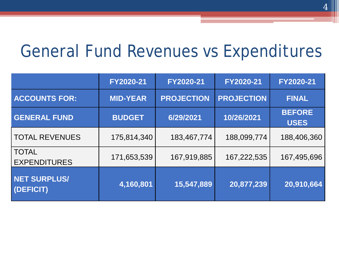#### General Fund Revenues vs Expenditures

|                                     | FY2020-21       | FY2020-21         | FY2020-21         | FY2020-21                    |
|-------------------------------------|-----------------|-------------------|-------------------|------------------------------|
| <b>ACCOUNTS FOR:</b>                | <b>MID-YEAR</b> | <b>PROJECTION</b> | <b>PROJECTION</b> | <b>FINAL</b>                 |
| <b>GENERAL FUND</b>                 | <b>BUDGET</b>   | 6/29/2021         | 10/26/2021        | <b>BEFORE</b><br><b>USES</b> |
| <b>TOTAL REVENUES</b>               | 175,814,340     | 183,467,774       | 188,099,774       | 188,406,360                  |
| <b>TOTAL</b><br><b>EXPENDITURES</b> | 171,653,539     | 167,919,885       | 167,222,535       | 167,495,696                  |
| <b>NET SURPLUS/</b><br>(DEFICIT)    | 4,160,801       | 15,547,889        | 20,877,239        | 20,910,664                   |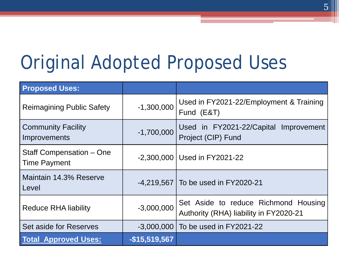## Original Adopted Proposed Uses

| <b>Proposed Uses:</b>                           |                |                                                                                |
|-------------------------------------------------|----------------|--------------------------------------------------------------------------------|
| <b>Reimagining Public Safety</b>                | $-1,300,000$   | Used in FY2021-22/Employment & Training<br>Fund (E&T)                          |
| <b>Community Facility</b><br>Improvements       | $-1,700,000$   | Used in FY2021-22/Capital Improvement<br>Project (CIP) Fund                    |
| Staff Compensation – One<br><b>Time Payment</b> |                | -2,300,000   Used in FY2021-22                                                 |
| Maintain 14.3% Reserve<br>Level                 |                | -4,219,567   To be used in FY2020-21                                           |
| <b>Reduce RHA liability</b>                     | $-3,000,000$   | Set Aside to reduce Richmond Housing<br>Authority (RHA) liability in FY2020-21 |
| Set aside for Reserves                          |                | -3,000,000   To be used in FY2021-22                                           |
| <b>Total Approved Uses:</b>                     | $-$15,519,567$ |                                                                                |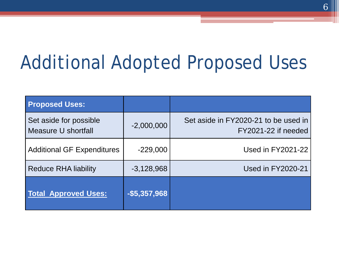# Additional Adopted Proposed Uses

| <b>Proposed Uses:</b>                         |               |                                                             |
|-----------------------------------------------|---------------|-------------------------------------------------------------|
| Set aside for possible<br>Measure U shortfall | $-2,000,000$  | Set aside in FY2020-21 to be used in<br>FY2021-22 if needed |
| <b>Additional GF Expenditures</b>             | $-229,000$    | Used in FY2021-22                                           |
| <b>Reduce RHA liability</b>                   | $-3,128,968$  | <b>Used in FY2020-21</b>                                    |
| <b>Total Approved Uses:</b>                   | $-$5,357,968$ |                                                             |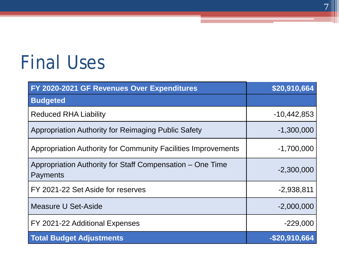## Final Uses

| FY 2020-2021 GF Revenues Over Expenditures                                   | \$20,910,664  |
|------------------------------------------------------------------------------|---------------|
| <b>Budgeted</b>                                                              |               |
| <b>Reduced RHA Liability</b>                                                 | $-10,442,853$ |
| Appropriation Authority for Reimaging Public Safety                          | $-1,300,000$  |
| Appropriation Authority for Community Facilities Improvements                | $-1,700,000$  |
| Appropriation Authority for Staff Compensation – One Time<br><b>Payments</b> | $-2,300,000$  |
| FY 2021-22 Set Aside for reserves                                            | $-2,938,811$  |
| Measure U Set-Aside                                                          | $-2,000,000$  |
| FY 2021-22 Additional Expenses                                               | $-229,000$    |
| <b>Total Budget Adjustments</b>                                              | -\$20,910,664 |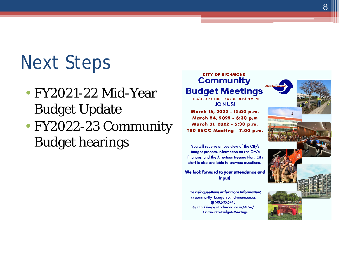### Next Steps

- FY2021-22 Mid-Year Budget Update
- FY2022-23 Community Budget hearings

#### **CITY OF RICHMOND** Community **Budget Meetings**

HOSTED BY THE FINANCE DEPARTMENT **JOIN US!** 

March 16, 2022 - 12:00 p.m. March 24, 2022 - 5:30 p.m March 31, 2022 - 5:30 p.m. TBD RNCC Meeting - 7:00 p.m.

You will receive an overview of the City's budget process, information on the City's finances, and the American Rescue Plan. City staff is also available to answers questions.

We look forward to your attendance and input

To ask questions or for more information:  $\boxtimes$  community\_budgeteci.richmond.ca.us @510.620.6740 ⊕http://www.cl.richmond.ca.us/4096/ **Community-Budget-Meetings** 

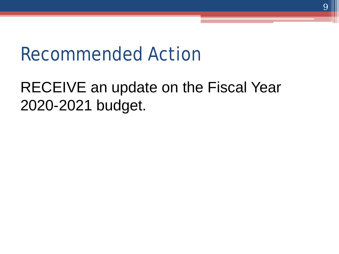#### Recommended Action

#### RECEIVE an update on the Fiscal Year 2020-2021 budget.